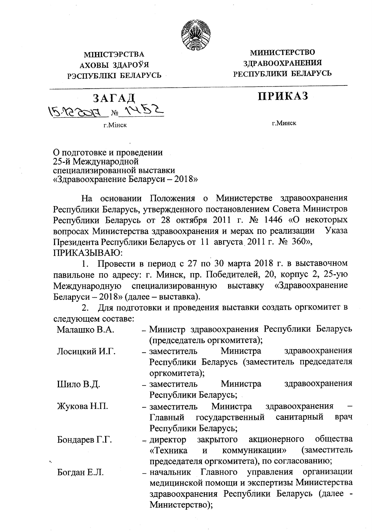

## МІНІСТЭРСТВА АХОВЫ ЗДАРОЎЯ РЭСПУБЛІКІ БЕЛАРУСЬ

## **МИНИСТЕРСТВО** ЗДРАВООХРАНЕНИЯ РЕСПУБЛИКИ БЕЛАРУСЬ

## ПРИКАЗ

ЗАГАД  $\mathcal{N}^{\circ}$ 

г. Мінск

г. Минск

О подготовке и проведении 25-й Международной специализированной выставки «Здравоохранение Беларуси –  $2018$ »

На основании Положения о Министерстве здравоохранения Республики Беларусь, утвержденного постановлением Совета Министров Республики Беларусь от 28 октября 2011 г. № 1446 «О некоторых вопросах Министерства здравоохранения и мерах по реализации Указа Президента Республики Беларусь от 11 августа 2011 г. № 360», ПРИКАЗЫВАЮ:

1. Провести в период с 27 по 30 марта 2018 г. в выставочном павильоне по адресу: г. Минск, пр. Победителей, 20, корпус 2, 25-ую специализированную выставку «Здравоохранение Международную Беларуси - 2018» (далее - выставка).

Для подготовки и проведения выставки создать оргкомитет в 2. следующем составе:

| Малашко В.А.  | – Министр здравоохранения Республики Беларусь                            |
|---------------|--------------------------------------------------------------------------|
|               | (председатель оргкомитета);                                              |
| Лосицкий И.Г. | Министра<br>здравоохранения<br>- заместитель                             |
|               | Республики Беларусь (заместитель председателя                            |
|               | оргкомитета);                                                            |
| Шило В.Д.     | Министра<br>здравоохранения<br>– заместитель                             |
|               | Республики Беларусь;                                                     |
| Жукова Н.П.   | $\overline{\phantom{0}}$<br>Министра<br>здравоохранения<br>- заместитель |
|               | санитарный<br>Главный государственный<br>врач                            |
|               | Республики Беларусь;                                                     |
| Бондарев Г.Г. | общества<br>- директор закрытого акционерного                            |
|               | (заместитель<br>коммуникации»<br>«Техника и                              |
|               | председателя оргкомитета), по согласованию;                              |
| Богдан Е.Л.   | - начальник Главного управления организации                              |
|               | мелининской помощи и экспертизы Министерства                             |

здравоохранения Республики Беларусь (далее -Министерство);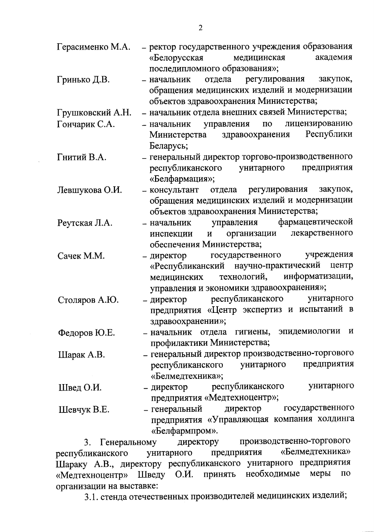| Герасименко М.А. | - ректор государственного учреждения образования                        |
|------------------|-------------------------------------------------------------------------|
|                  | «Белорусская<br>медицинская<br>академия                                 |
|                  | последипломного образования»;                                           |
| Гринько Д.В.     | закупок,<br>регулирования<br>- начальник<br>отдела                      |
|                  | обращения медицинских изделий и модернизации                            |
|                  | объектов здравоохранения Министерства;                                  |
| Грушковский А.Н. | - начальник отдела внешних связей Министерства;                         |
| Гончарик С.А.    | управления по<br>лицензированию<br>- начальник                          |
|                  | Республики<br>Министерства здравоохранения                              |
|                  | Беларусь;                                                               |
| Гнитий В.А.      | - генеральный директор торгово-производственного                        |
|                  | республиканского унитарного<br>предприятия                              |
|                  | «Белфармация»;                                                          |
| Левшукова О.И.   | - консультант отдела регулирования закупок,                             |
|                  | обращения медицинских изделий и модернизации                            |
|                  | объектов здравоохранения Министерства;                                  |
| Реутская Л.А.    | фармацевтической<br>управления<br>- начальник                           |
|                  | лекарственного<br>организации<br>$\boldsymbol{\mathrm{M}}$<br>инспекции |
|                  | обеспечения Министерства;                                               |
| Сачек М.М.       | учреждения<br>государственного<br>- директор                            |
|                  | «Республиканский научно-практический центр                              |
|                  | информатизации,<br>технологий,<br>медицинских                           |
|                  | управления и экономики здравоохранения»;                                |
| Столяров А.Ю.    | республиканского<br>унитарного<br>- директор                            |
|                  | предприятия «Центр экспертиз и испытаний в                              |
|                  | здравоохранении»;                                                       |
| Федоров Ю.Е.     | - начальник отдела гигиены, эпидемиологии<br>И                          |
|                  | профилактики Министерства;                                              |
| Шарак А.В.       | - генеральный директор производственно-торгового                        |
|                  | предприятия<br>республиканского унитарного                              |
|                  | «Белмедтехника»;                                                        |
| Швед О.И.        | унитарного<br>- директор республиканского                               |
|                  | предприятия «Медтехноцентр»;                                            |
| Шевчук В.Е.      | директор государственного<br>– генеральный                              |
|                  | предприятия «Управляющая компания холдинга                              |
|                  | «Белфармпром».                                                          |

производственно-торгового Генеральному  $3.$ директору предприятия «Белмедтехника» республиканского унитарного Шараку А.В., директору республиканского унитарного предприятия «Медтехноцентр» Шведу О.И. принять необходимые меры  $\rm \Pi O$ организации на выставке:

3.1. стенда отечественных производителей медицинских изделий;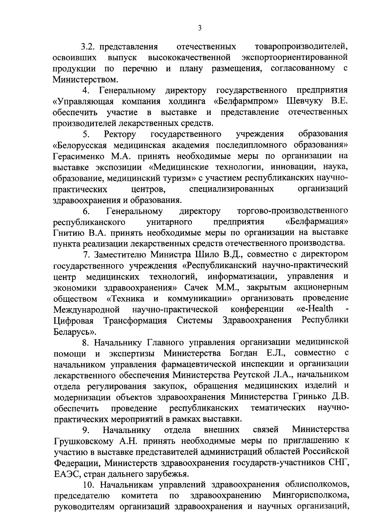3.2. представления товаропроизводителей, отечественных экспортоориентированной выпуск высококачественной освоивших плану размещения, согласованному с перечню продукции  $\Pi$ O  $\mathbf{M}$ Министерством.

государственного предприятия  $\overline{4}$ . Генеральному директору «Белфармпром» Шевчуку В.Е. «Управляющая компания холдинга представление обеспечить участие  $\mathbf{B}$ выставке  $\mathbf{M}$ отечественных производителей лекарственных средств.

государственного образования Ректору учреждения 5. «Белорусская медицинская академия последипломного образования» Герасименко М.А. принять необходимые меры по организации на выставке экспозиции «Медицинские технологии, инновации, наука, образование, медицинский туризм» с участием республиканских научноорганизаций специализированных практических центров, здравоохранения и образования.

Генеральному торгово-производственного 6. директору «Белфармация» унитарного предприятия республиканского Гнитию В.А. принять необходимые меры по организации на выставке пункта реализации лекарственных средств отечественного производства.

7. Заместителю Министра Шило В.Д., совместно с директором государственного учреждения «Республиканский научно-практический центр медицинских технологий, информатизации, управления  $\mathbf H$ экономики здравоохранения» Сачек М.М., закрытым акционерным обществом «Техника и коммуникации» организовать проведение научно-практической «e-Health конференции Международной Здравоохранения Республики Трансформация Системы Цифровая Беларусь».

8. Начальнику Главного управления организации медицинской Министерства Богдан Е.Л., совместно экспертизы помощи и начальником управления фармацевтической инспекции и организации лекарственного обеспечения Министерства Реутской Л.А., начальником отдела регулирования закупок, обращения медицинских изделий и модернизации объектов здравоохранения Министерства Гринько Д.В. республиканских тематических научнопроведение обеспечить практических мероприятий в рамках выставки.

Министерства Начальнику отдела связей 9. внешних Грушковскому А.Н. принять необходимые меры по приглашению к участию в выставке представителей администраций областей Российской Федерации, Министерств здравоохранения государств-участников СНГ, ЕАЭС, стран дальнего зарубежья.

10. Начальникам управлений здравоохранения облисполкомов, здравоохранению  $\overline{a}$ Мингорисполкома, председателю комитета руководителям организаций здравоохранения и научных организаций,